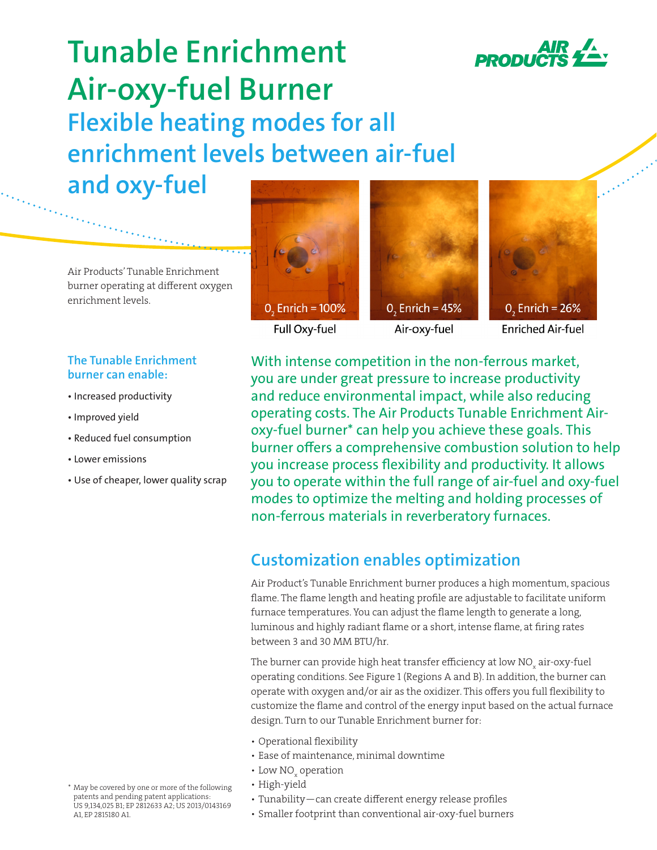

## **Tunable Enrichment Air-oxy-fuel Burner Flexible heating modes for all enrichment levels between air-fuel and oxy-fuel**

Air Products' Tunable Enrichment burner operating at different oxygen enrichment levels.

### **The Tunable Enrichment burner can enable:**

- Increased productivity
- Improved yield
- Reduced fuel consumption
- Lower emissions
- Use of cheaper, lower quality scrap









Full Oxy-fuel

Air-oxy-fuel

**Enriched Air-fuel** 

With intense competition in the non-ferrous market, you are under great pressure to increase productivity and reduce environmental impact, while also reducing operating costs. The Air Products Tunable Enrichment Airoxy-fuel burner\* can help you achieve these goals. This burner offers a comprehensive combustion solution to help you increase process flexibility and productivity. It allows you to operate within the full range of air-fuel and oxy-fuel modes to optimize the melting and holding processes of non-ferrous materials in reverberatory furnaces.

### **Customization enables optimization**

Air Product's Tunable Enrichment burner produces a high momentum, spacious flame. The flame length and heating profile are adjustable to facilitate uniform furnace temperatures. You can adjust the flame length to generate a long, luminous and highly radiant flame or a short, intense flame, at firing rates between 3 and 30 MM BTU/hr.

The burner can provide high heat transfer efficiency at low NO $_{\mathrm{\mathsf{x}}}$  air-oxy-fuel operating conditions. See Figure 1 (Regions A and B). In addition, the burner can operate with oxygen and/or air as the oxidizer. This offers you full flexibility to customize the flame and control of the energy input based on the actual furnace design. Turn to our Tunable Enrichment burner for:

- Operational flexibility
- Ease of maintenance, minimal downtime
- Low  $\mathrm{NO}_{_\mathrm{x}}$  operation
- High-yield
- Tunability—can create different energy release profiles
- Smaller footprint than conventional air-oxy-fuel burners